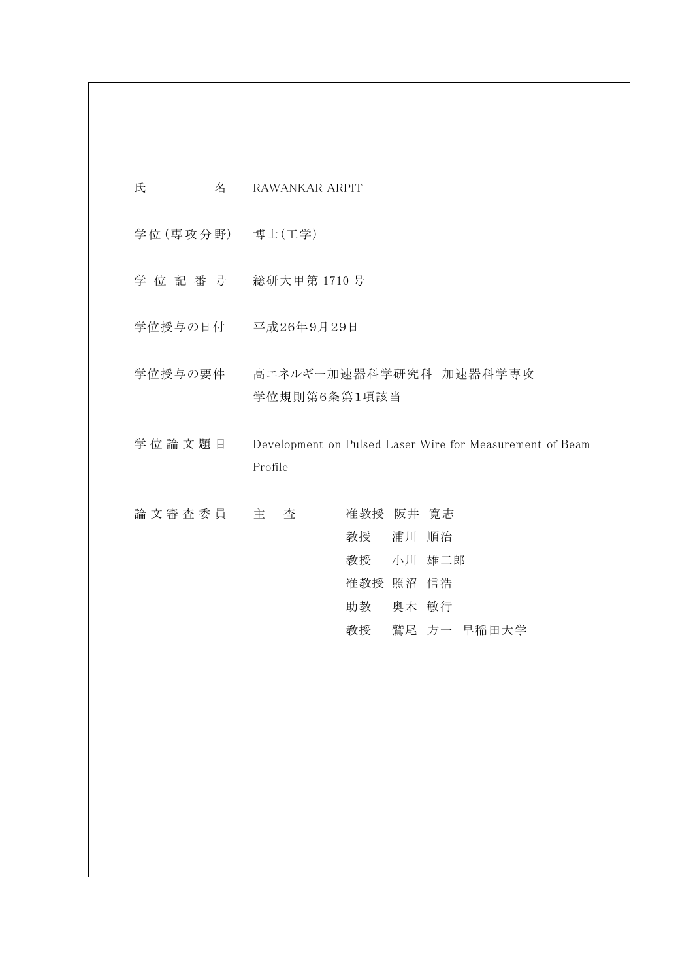| 氏<br>名          | RAWANKAR ARPIT                                                                     |
|-----------------|------------------------------------------------------------------------------------|
| 学位(専攻分野) 博士(工学) |                                                                                    |
|                 | 学位記番号 総研大甲第1710号                                                                   |
|                 | 学位授与の日付 平成26年9月29日                                                                 |
|                 | 学位授与の要件 高エネルギー加速器科学研究科 加速器科学専攻<br>学位規則第6条第1項該当                                     |
| 学位論文題目          | Development on Pulsed Laser Wire for Measurement of Beam<br>Profile                |
| 論 文 審 査 委 員 主   | 査<br>准教授 阪井 寛志<br>教授 浦川 順治<br>教授 小川 雄二郎<br>准教授 照沼 信浩<br>助教 奥木 敏行<br>教授 鷲尾 方一 早稲田大学 |
|                 |                                                                                    |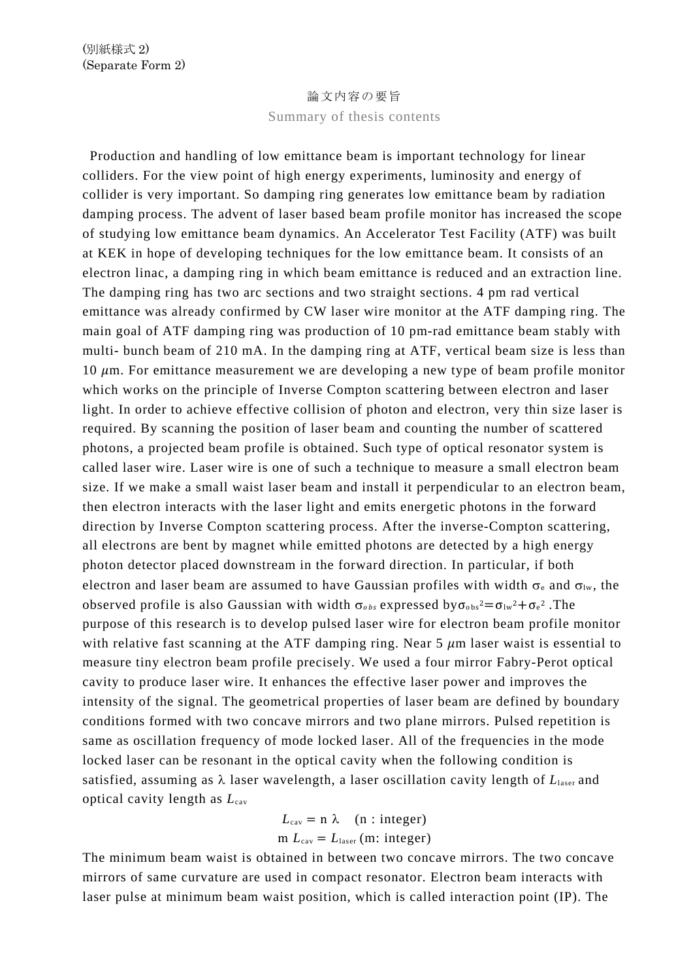## 論文内容の要旨

Summary of thesis contents

Production and handling of low emittance beam is important technology for linear colliders. For the view point of high energy experiments, luminosity and energy of collider is very important. So damping ring generates low emittance beam by radiation damping process. The advent of laser based beam profile monitor has increased the scope of studying low emittance beam dynamics. An Accelerator Test Facility (ATF) was built at KEK in hope of developing techniques for the low emittance beam. It consists of an electron linac, a damping ring in which beam emittance is reduced and an extraction line. The damping ring has two arc sections and two straight sections. 4 pm rad vertical emittance was already confirmed by CW laser wire monitor at the ATF damping ring. The main goal of ATF damping ring was production of 10 pm-rad emittance beam stably with multi- bunch beam of 210 mA. In the damping ring at ATF, vertical beam size is less than 10  $\mu$ m. For emittance measurement we are developing a new type of beam profile monitor which works on the principle of Inverse Compton scattering between electron and laser light. In order to achieve effective collision of photon and electron, very thin size laser is required. By scanning the position of laser beam and counting the number of scattered photons, a projected beam profile is obtained. Such type of optical resonator system is called laser wire. Laser wire is one of such a technique to measure a small electron beam size. If we make a small waist laser beam and install it perpendicular to an electron beam, then electron interacts with the laser light and emits energetic photons in the forward direction by Inverse Compton scattering process. After the inverse-Compton scattering, all electrons are bent by magnet while emitted photons are detected by a high energy photon detector placed downstream in the forward direction. In particular, if both electron and laser beam are assumed to have Gaussian profiles with width  $\sigma_e$  and  $\sigma_{lw}$ , the observed profile is also Gaussian with width  $\sigma_{obs}$  expressed by  $\sigma_{obs} = \sigma_{lw} + \sigma_e^2$ . The purpose of this research is to develop pulsed laser wire for electron beam profile monitor with relative fast scanning at the ATF damping ring. Near  $5 \mu m$  laser waist is essential to measure tiny electron beam profile precisely. We used a four mirror Fabry-Perot optical cavity to produce laser wire. It enhances the effective laser power and improves the intensity of the signal. The geometrical properties of laser beam are defined by boundary conditions formed with two concave mirrors and two plane mirrors. Pulsed repetition is same as oscillation frequency of mode locked laser. All of the frequencies in the mode locked laser can be resonant in the optical cavity when the following condition is satisfied, assuming as  $\lambda$  laser wavelength, a laser oscillation cavity length of  $L<sub>laser</sub>$  and optical cavity length as *L*cav

$$
L_{\text{cav}} = n \lambda \quad (n : \text{integer})
$$
  
m  $L_{\text{cav}} = L_{\text{laser}} \text{ (m: integer)}$ 

The minimum beam waist is obtained in between two concave mirrors. The two concave mirrors of same curvature are used in compact resonator. Electron beam interacts with laser pulse at minimum beam waist position, which is called interaction point (IP). The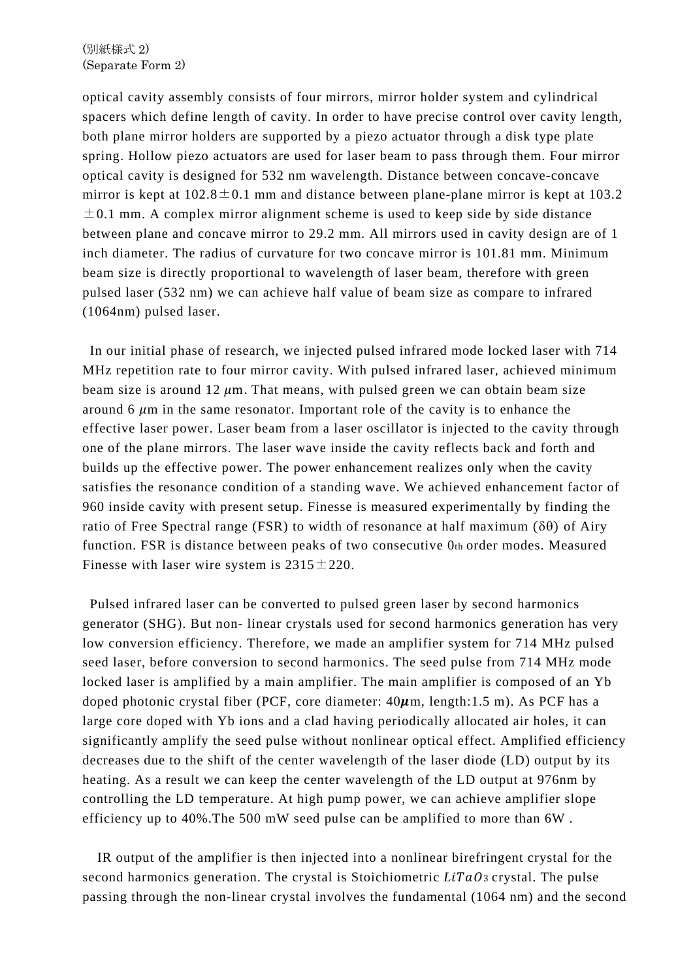## (別紙様式 2) (Separate Form 2)

optical cavity assembly consists of four mirrors, mirror holder system and cylindrical spacers which define length of cavity. In order to have precise control over cavity length, both plane mirror holders are supported by a piezo actuator through a disk type plate spring. Hollow piezo actuators are used for laser beam to pass through them. Four mirror optical cavity is designed for 532 nm wavelength. Distance between concave-concave mirror is kept at  $102.8 \pm 0.1$  mm and distance between plane-plane mirror is kept at  $103.2$  $\pm$ 0.1 mm. A complex mirror alignment scheme is used to keep side by side distance between plane and concave mirror to 29.2 mm. All mirrors used in cavity design are of 1 inch diameter. The radius of curvature for two concave mirror is 101.81 mm. Minimum beam size is directly proportional to wavelength of laser beam, therefore with green pulsed laser (532 nm) we can achieve half value of beam size as compare to infrared (1064nm) pulsed laser.

In our initial phase of research, we injected pulsed infrared mode locked laser with 714 MHz repetition rate to four mirror cavity. With pulsed infrared laser, achieved minimum beam size is around 12  $\mu$ m. That means, with pulsed green we can obtain beam size around 6  $\mu$ m in the same resonator. Important role of the cavity is to enhance the effective laser power. Laser beam from a laser oscillator is injected to the cavity through one of the plane mirrors. The laser wave inside the cavity reflects back and forth and builds up the effective power. The power enhancement realizes only when the cavity satisfies the resonance condition of a standing wave. We achieved enhancement factor of 960 inside cavity with present setup. Finesse is measured experimentally by finding the ratio of Free Spectral range (FSR) to width of resonance at half maximum ( $\delta\theta$ ) of Airy function. FSR is distance between peaks of two consecutive 0th order modes. Measured Finesse with laser wire system is  $2315 \pm 220$ .

Pulsed infrared laser can be converted to pulsed green laser by second harmonics generator (SHG). But non- linear crystals used for second harmonics generation has very low conversion efficiency. Therefore, we made an amplifier system for 714 MHz pulsed seed laser, before conversion to second harmonics. The seed pulse from 714 MHz mode locked laser is amplified by a main amplifier. The main amplifier is composed of an Yb doped photonic crystal fiber (PCF, core diameter:  $40\mu$ m, length:1.5 m). As PCF has a large core doped with Yb ions and a clad having periodically allocated air holes, it can significantly amplify the seed pulse without nonlinear optical effect. Amplified efficiency decreases due to the shift of the center wavelength of the laser diode (LD) output by its heating. As a result we can keep the center wavelength of the LD output at 976nm by controlling the LD temperature. At high pump power, we can achieve amplifier slope efficiency up to 40%.The 500 mW seed pulse can be amplified to more than 6W .

IR output of the amplifier is then injected into a nonlinear birefringent crystal for the second harmonics generation. The crystal is Stoichiometric *LiTaO*<sub>3</sub> crystal. The pulse passing through the non-linear crystal involves the fundamental (1064 nm) and the second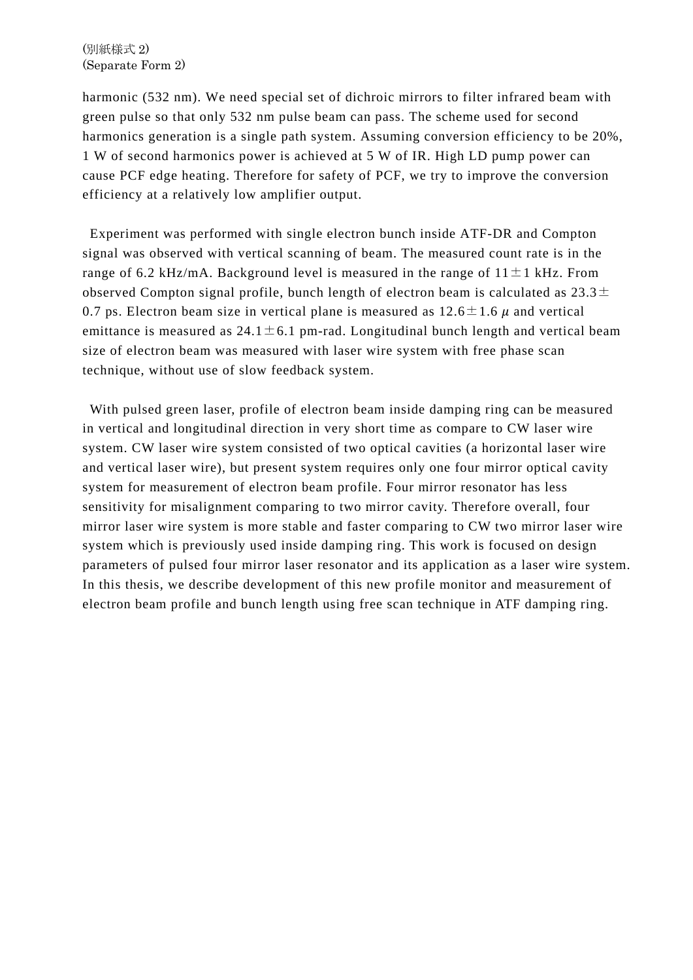harmonic (532 nm). We need special set of dichroic mirrors to filter infrared beam with green pulse so that only 532 nm pulse beam can pass. The scheme used for second harmonics generation is a single path system. Assuming conversion efficiency to be 20%, 1 W of second harmonics power is achieved at 5 W of IR. High LD pump power can cause PCF edge heating. Therefore for safety of PCF, we try to improve the conversion efficiency at a relatively low amplifier output.

Experiment was performed with single electron bunch inside ATF-DR and Compton signal was observed with vertical scanning of beam. The measured count rate is in the range of 6.2 kHz/mA. Background level is measured in the range of  $11 \pm 1$  kHz. From observed Compton signal profile, bunch length of electron beam is calculated as  $23.3\pm$ 0.7 ps. Electron beam size in vertical plane is measured as  $12.6 \pm 1.6 \mu$  and vertical emittance is measured as  $24.1 \pm 6.1$  pm-rad. Longitudinal bunch length and vertical beam size of electron beam was measured with laser wire system with free phase scan technique, without use of slow feedback system.

With pulsed green laser, profile of electron beam inside damping ring can be measured in vertical and longitudinal direction in very short time as compare to CW laser wire system. CW laser wire system consisted of two optical cavities (a horizontal laser wire and vertical laser wire), but present system requires only one four mirror optical cavity system for measurement of electron beam profile. Four mirror resonator has less sensitivity for misalignment comparing to two mirror cavity. Therefore overall, four mirror laser wire system is more stable and faster comparing to CW two mirror laser wire system which is previously used inside damping ring. This work is focused on design parameters of pulsed four mirror laser resonator and its application as a laser wire system. In this thesis, we describe development of this new profile monitor and measurement of electron beam profile and bunch length using free scan technique in ATF damping ring.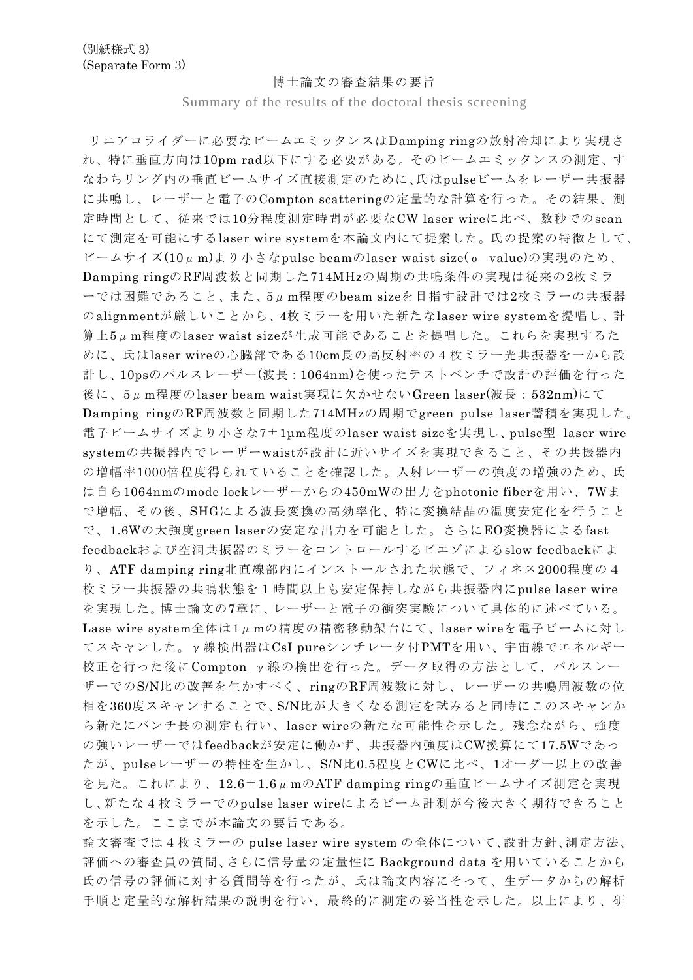## 博士論文の審査結果の要旨

Summary of the results of the doctoral thesis screening

リニアコライダーに必要なビームエミッタンスはDamping ringの放射冷却により実現さ れ、特に垂直方向は10pm rad以下にする必要がある。そのビームエミッタンスの測定、す なわちリング内の垂直ビームサイズ直接測定のために、氏はpulseビームをレーザー共振器 に共鳴し、レーザーと電子のCompton scatteringの定量的な計算を行った。その結果、測 定時間として、従来では10分程度測定時間が必要なCW laser wireに比べ、数秒でのscan にて測定を可能にするlaser wire systemを本論文内にて提案した。氏の提案の特徴として、 ビームサイズ(10μm)より小さなpulse beamのlaser waist size(σ value)の実現のため、 Damping ringのRF周波数と同期した714MHzの周期の共鳴条件の実現は従来の2枚ミラ ーでは困難であること、また、5μm程度のbeam sizeを目指す設計では2枚ミラーの共振器 のalignmentが厳しいことから、4枚ミラーを用いた新たなlaser wire systemを提唱し、計 算上5μm程度のlaser waist sizeが生成可能であることを提唱した。これらを実現するた めに、氏はlaser wireの心臓部である10cm長の高反射率の4枚ミラー光共振器を一から設 計し、10psのパルスレーザー(波長:1064nm)を使ったテストベンチで設計の評価を行った 後に、5μm程度のlaser beam waist実現に欠かせないGreen laser(波長:532nm)にて Damping ringのRF周波数と同期した714MHzの周期でgreen pulse laser蓄積を実現した。 電子ビームサイズより小さな7±1μm程度のlaser waist sizeを実現し、pulse型 laser wire systemの共振器内でレーザーwaistが設計に近いサイズを実現できること、その共振器内 の増幅率1000倍程度得られていることを確認した。入射レーザーの強度の増強のため、氏 は自ら1064nmのmode lockレーザーからの450mWの出力をphotonic fiberを用い、7Wま で増幅、その後、SHGによる波長変換の高効率化、特に変換結晶の温度安定化を行うこと で、1.6Wの大強度green laserの安定な出力を可能とした。さらにEO変換器によるfast feedbackおよび空洞共振器のミラーをコントロールするピエゾによるslow feedbackによ り、ATF damping ring北直線部内にインストールされた状態で、フィネス2000程度の4 枚ミラー共振器の共鳴状態を1時間以上も安定保持しながら共振器内にpulse laser wire を実現した。博士論文の7章に、レーザーと電子の衝突実験について具体的に述べている。 Lase wire system全体は1µmの精度の精密移動架台にて、laser wireを電子ビームに対し てスキャンした。γ線検出器はCsI pureシンチレータ付PMTを用い、宇宙線でエネルギー 校正を行った後にCompton γ線の検出を行った。データ取得の方法として、パルスレー ザーでのS/N比の改善を生かすべく、ringのRF周波数に対し、レーザーの共鳴周波数の位 相を360度スキャンすることで、S/N比が大きくなる測定を試みると同時にこのスキャンか ら新たにバンチ長の測定も行い、laser wireの新たな可能性を示した。残念ながら、強度 の強いレーザーではfeedbackが安定に働かず、共振器内強度はCW換算にて17.5Wであっ たが、pulseレーザーの特性を生かし、S/N比0.5程度とCWに比べ、1オーダー以上の改善 を見た。これにより、12.6±1.6μmのATF damping ringの垂直ビームサイズ測定を実現 し、新たな4枚ミラーでのpulse laser wireによるビーム計測が今後大きく期待できること を示した。ここまでが本論文の要旨である。

論文審査では4枚ミラーの pulse laser wire system の全体について、設計方針、測定方法、 評価への審査員の質問、さらに信号量の定量性に Background data を用いていることから 氏の信号の評価に対する質問等を行ったが、氏は論文内容にそって、生データからの解析 手順と定量的な解析結果の説明を行い、最終的に測定の妥当性を示した。以上により、研